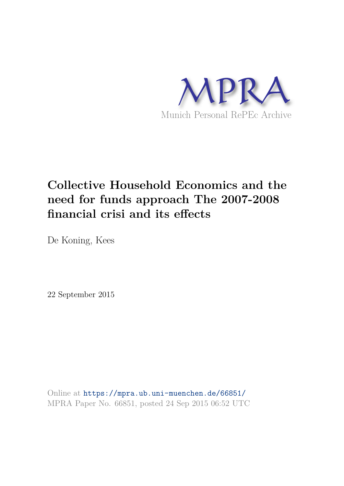

# **Collective Household Economics and the need for funds approach The 2007-2008 financial crisi and its effects**

De Koning, Kees

22 September 2015

Online at https://mpra.ub.uni-muenchen.de/66851/ MPRA Paper No. 66851, posted 24 Sep 2015 06:52 UTC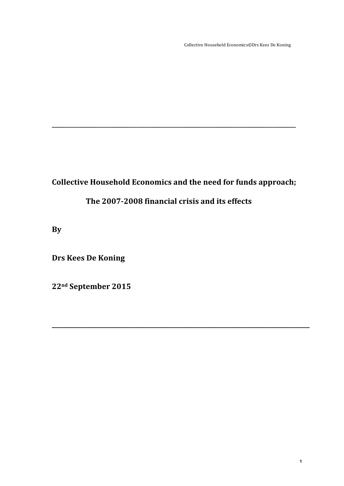Collective Household Economics©Drs Kees De Koning

# Collective Household Economics and the need for funds approach;

**\_\_\_\_\_\_\_\_\_\_\_\_\_\_\_\_\_\_\_\_\_\_\_\_\_\_\_\_\_\_\_\_\_\_\_\_\_\_\_\_\_\_\_\_\_\_\_\_\_\_\_\_\_\_\_\_\_\_\_\_\_\_\_\_\_\_\_\_\_\_\_\_\_\_\_\_\_\_\_\_\_\_\_\_\_\_**

**\_\_\_\_\_\_\_\_\_\_\_\_\_\_\_\_\_\_\_\_\_\_\_\_\_\_\_\_\_\_\_\_\_\_\_\_\_\_\_\_\_\_\_\_\_\_\_\_\_\_\_\_\_\_\_\_\_\_\_\_\_\_\_\_\_\_\_\_\_\_\_\_\_\_\_\_\_\_\_\_\_\_\_\_\_\_\_\_\_\_\_\_\_\_\_**

# The 2007-2008 financial crisis and its effects

**By**

**Drs Kees De Koning** 

**22nd September 
 2015**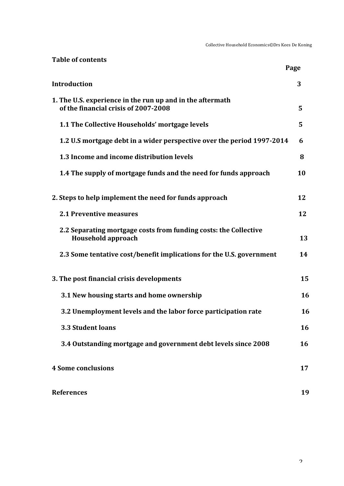Collective Household Economics©Drs Kees De Koning

| <b>Table of contents</b>                                                                          |      |
|---------------------------------------------------------------------------------------------------|------|
|                                                                                                   | Page |
| <b>Introduction</b>                                                                               | 3    |
| 1. The U.S. experience in the run up and in the aftermath<br>of the financial crisis of 2007-2008 | 5    |
| 1.1 The Collective Households' mortgage levels                                                    | 5    |
| 1.2 U.S mortgage debt in a wider perspective over the period 1997-2014                            | 6    |
| 1.3 Income and income distribution levels                                                         | 8    |
| 1.4 The supply of mortgage funds and the need for funds approach                                  | 10   |
| 2. Steps to help implement the need for funds approach                                            | 12   |
| <b>2.1 Preventive measures</b>                                                                    | 12   |
| 2.2 Separating mortgage costs from funding costs: the Collective<br><b>Household approach</b>     | 13   |
| 2.3 Some tentative cost/benefit implications for the U.S. government                              | 14   |
| 3. The post financial crisis developments                                                         | 15   |
| 3.1 New housing starts and home ownership                                                         | 16   |
| 3.2 Unemployment levels and the labor force participation rate                                    | 16   |
| 3.3 Student loans                                                                                 | 16   |
| 3.4 Outstanding mortgage and government debt levels since 2008                                    | 16   |
| <b>4 Some conclusions</b>                                                                         | 17   |
| <b>References</b>                                                                                 | 19   |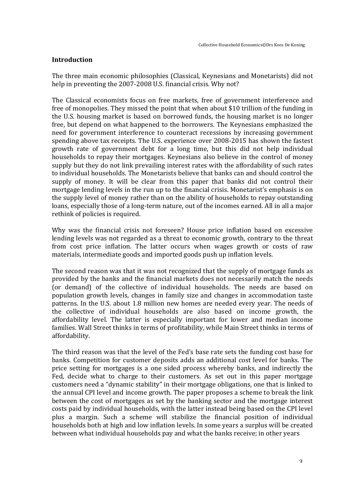#### **Introduction**

The three main economic philosophies (Classical, Keynesians and Monetarists) did not help in preventing the 2007-2008 U.S. financial crisis. Why not?

The Classical economists focus on free markets, free of government interference and free of monopolies. They missed the point that when about \$10 trillion of the funding in the U.S. housing market is based on borrowed funds, the housing market is no longer free, but depend on what happened to the borrowers. The Keynesians emphasized the need for government interference to counteract recessions by increasing government spending above tax receipts. The U.S. experience over 2008-2015 has shown the fastest growth rate of government debt for a long time, but this did not help individual households to repay their mortgages. Keynesians also believe in the control of money supply but they do not link prevailing interest rates with the affordability of such rates to individual households. The Monetarists believe that banks can and should control the supply of money. It will be clear from this paper that banks did not control their mortgage lending levels in the run up to the financial crisis. Monetarist's emphasis is on the supply level of money rather than on the ability of households to repay outstanding loans, especially those of a long-term nature, out of the incomes earned. All in all a major rethink of policies is required.

Why was the financial crisis not foreseen? House price inflation based on excessive lending levels was not regarded as a threat to economic growth, contrary to the threat from cost price inflation. The latter occurs when wages growth or costs of raw materials, intermediate goods and imported goods push up inflation levels.

The second reason was that it was not recognized that the supply of mortgage funds as provided by the banks and the financial markets does not necessarily match the needs (or demand) of the collective of individual households. The needs are based on population growth levels, changes in family size and changes in accommodation taste patterns. In the U.S. about 1.8 million new homes are needed every year. The needs of the collective of individual households are also based on income growth, the affordability level. The latter is especially important for lower and median income families. Wall Street thinks in terms of profitability, while Main Street thinks in terms of affordability.

The third reason was that the level of the Fed's base rate sets the funding cost base for banks. Competition for customer deposits adds an additional cost level for banks. The price setting for mortgages is a one sided process whereby banks, and indirectly the Fed, decide what to charge to their customers. As set out in this paper mortgage customers need a "dynamic stability" in their mortgage obligations, one that is linked to the annual CPI level and income growth. The paper proposes a scheme to break the link between the cost of mortgages as set by the banking sector and the mortgage interest costs paid by individual households, with the latter instead being based on the CPI level plus a margin. Such a scheme will stabilize the financial position of individual households both at high and low inflation levels. In some years a surplus will be created between what individual households pay and what the banks receive; in other years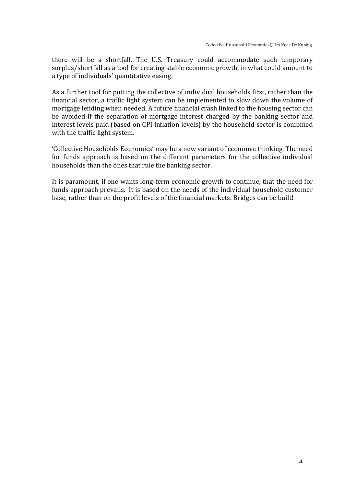there will be a shortfall. The U.S. Treasury could accommodate such temporary surplus/shortfall as a tool for creating stable economic growth, in what could amount to a type of individuals' quantitative easing.

As a further tool for putting the collective of individual households first, rather than the financial sector, a traffic light system can be implemented to slow down the volume of mortgage lending when needed. A future financial crash linked to the housing sector can be avoided if the separation of mortgage interest charged by the banking sector and interest levels paid (based on CPI inflation levels) by the household sector is combined with the traffic light system.

'Collective Households Economics' may be a new variant of economic thinking. The need for funds approach is based on the different parameters for the collective individual households than the ones that rule the banking sector.

It is paramount, if one wants long-term economic growth to continue, that the need for funds approach prevails. It is based on the needs of the individual household customer base, rather than on the profit levels of the financial markets. Bridges can be built!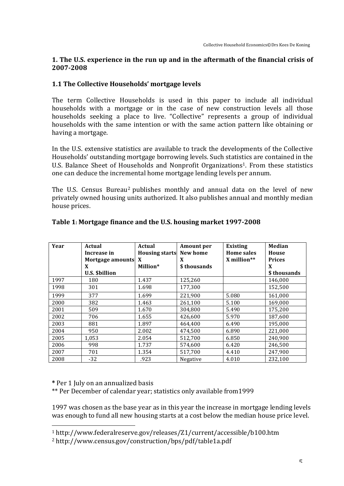#### **1.** The U.S. experience in the run up and in the aftermath of the financial crisis of **2007-‐2008**

#### **1.1 The Collective Households' mortgage levels**

The term Collective Households is used in this paper to include all individual households with a mortgage or in the case of new construction levels all those households seeking a place to live. "Collective" represents a group of individual households with the same intention or with the same action pattern like obtaining or having a mortgage.

In the U.S. extensive statistics are available to track the developments of the Collective Households' outstanding mortgage borrowing levels. Such statistics are contained in the U.S. Balance Sheet of Households and Nonprofit Organizations<sup>1</sup>. From these statistics one can deduce the incremental home mortgage lending levels per annum.

The U.S. Census Bureau<sup>2</sup> publishes monthly and annual data on the level of new privately owned housing units authorized. It also publishes annual and monthly median house prices.

| Year | Actual<br>Increase in | Actual<br><b>Housing starts</b> | Amount per<br>New home | Existing<br><b>Home sales</b> | <b>Median</b><br>House |
|------|-----------------------|---------------------------------|------------------------|-------------------------------|------------------------|
|      | Mortgage amounts X    |                                 | X                      | $X$ million**                 | <b>Prices</b>          |
|      | X                     | Million*                        | \$thousands            |                               | X                      |
|      | <b>U.S. \$billion</b> |                                 |                        |                               | \$ thousands           |
| 1997 | 180                   | 1.437                           | 125,260                |                               | 146,000                |
| 1998 | 301                   | 1.698                           | 177,300                |                               | 152,500                |
| 1999 | 377                   | 1.699                           | 221,900                | 5.080                         | 161,000                |
| 2000 | 382                   | 1.463                           | 261,100                | 5.100                         | 169,000                |
| 2001 | 509                   | 1.670                           | 304,800                | 5.490                         | 175,200                |
| 2002 | 706                   | 1.655                           | 426,600                | 5.970                         | 187,600                |
| 2003 | 881                   | 1.897                           | 464.400                | 6.490                         | 195,000                |
| 2004 | 950                   | 2.002                           | 474,500                | 6.890                         | 221,000                |
| 2005 | 1,053                 | 2.054                           | 512,700                | 6.850                         | 240,900                |
| 2006 | 998                   | 1.737                           | 574,600                | 6.420                         | 246,500                |
| 2007 | 701                   | 1.354                           | 517,700                | 4.410                         | 247.900                |
| 2008 | $-32$                 | .923                            | Negative               | 4.010                         | 232,100                |

#### Table 1: Mortgage finance and the U.S. housing market 1997-2008

\* Per 1 July on an annualized basis

\*\* Per December of calendar year; statistics only available from1999

1997 was chosen as the base year as in this year the increase in mortgage lending levels was enough to fund all new housing starts at a cost below the median house price level.

<sup>1</sup> http://www.federalreserve.gov/releases/Z1/current/accessible/b100.htm

<sup>2</sup> http://www.census.gov/construction/bps/pdf/table1a.pdf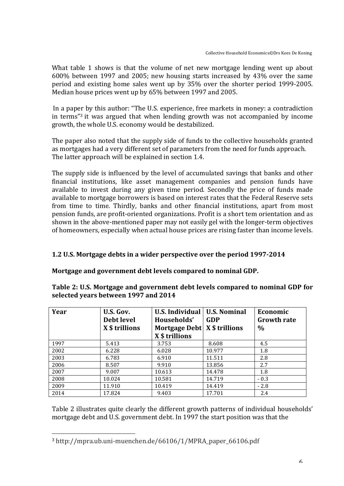What table 1 shows is that the volume of net new mortgage lending went up about  $600\%$  between 1997 and 2005; new housing starts increased by 43% over the same period and existing home sales went up by 35% over the shorter period 1999-2005. Median house prices went up by 65% between 1997 and 2005.

In a paper by this author: "The U.S. experience, free markets in money: a contradiction in terms"<sup>3</sup> it was argued that when lending growth was not accompanied by income growth, the whole U.S. economy would be destabilized.

The paper also noted that the supply side of funds to the collective households granted as mortgages had a very different set of parameters from the need for funds approach. The latter approach will be explained in section 1.4.

The supply side is influenced by the level of accumulated savings that banks and other financial institutions, like asset management companies and pension funds have available to invest during any given time period. Secondly the price of funds made available to mortgage borrowers is based on interest rates that the Federal Reserve sets from time to time. Thirdly, banks and other financial institutions, apart from most pension funds, are profit-oriented organizations. Profit is a short tem orientation and as shown in the above-mentioned paper may not easily gel with the longer-term objectives of homeowners, especially when actual house prices are rising faster than income levels.

#### **1.2 U.S. Mortgage debts in a wider perspective over the period 1997-2014**

#### Mortgage and government debt levels compared to nominal GDP.

| Year | U.S. Gov.<br>Debt level<br>X \$ trillions | U.S. Individual<br>Households'<br>Mortgage Debt   X \$ trillions<br>X \$ trillions | <b>U.S. Nominal</b><br><b>GDP</b> | Economic<br><b>Growth rate</b><br>$\%$ |
|------|-------------------------------------------|------------------------------------------------------------------------------------|-----------------------------------|----------------------------------------|
| 1997 | 5.413                                     | 3.753                                                                              | 8.608                             | 4.5                                    |
| 2002 | 6.228                                     | 6.028                                                                              | 10.977                            | 1.8                                    |
| 2003 | 6.783                                     | 6.910                                                                              | 11.511                            | 2.8                                    |
| 2006 | 8.507                                     | 9.910                                                                              | 13.856                            | 2.7                                    |
| 2007 | 9.007                                     | 10.613                                                                             | 14.478                            | 1.8                                    |
| 2008 | 10.024                                    | 10.581                                                                             | 14.719                            | $-0.3$                                 |
| 2009 | 11.910                                    | 10.419                                                                             | 14.419                            | $-2.8$                                 |
| 2014 | 17.824                                    | 9.403                                                                              | 17.701                            | 2.4                                    |

Table 2: U.S. Mortgage and government debt levels compared to nominal GDP for selected vears between 1997 and 2014

Table 2 illustrates quite clearly the different growth patterns of individual households' mortgage debt and U.S. government debt. In 1997 the start position was that the

<u> 1989 - Jan Samuel Barbara, politik eta politik eta politik eta politik eta politik eta politik eta politik e</u>

<sup>&</sup>lt;sup>3</sup> http://mpra.ub.uni-muenchen.de/66106/1/MPRA\_paper\_66106.pdf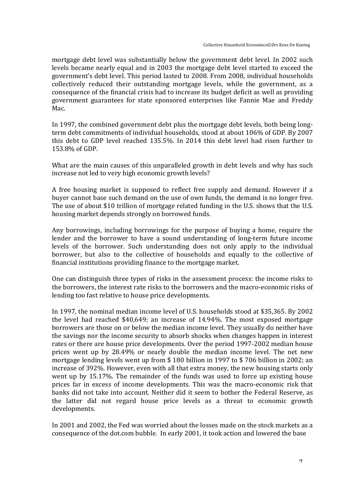mortgage debt level was substantially below the government debt level. In 2002 such levels became nearly equal and in 2003 the mortgage debt level started to exceed the government's debt level. This period lasted to 2008. From 2008, individual households collectively reduced their outstanding mortgage levels, while the government, as a consequence of the financial crisis had to increase its budget deficit as well as providing government guarantees for state sponsored enterprises like Fannie Mae and Freddy Mac.

In 1997, the combined government debt plus the mortgage debt levels, both being longterm debt commitments of individual households, stood at about 106% of GDP. By 2007 this debt to GDP level reached  $135.5\%$ . In 2014 this debt level had risen further to 153.8% of GDP.

What are the main causes of this unparalleled growth in debt levels and why has such increase not led to very high economic growth levels?

A free housing market is supposed to reflect free supply and demand. However if a buyer cannot base such demand on the use of own funds, the demand is no longer free. The use of about \$10 trillion of mortgage related funding in the U.S. shows that the U.S. housing market depends strongly on borrowed funds.

Any borrowings, including borrowings for the purpose of buying a home, require the lender and the borrower to have a sound understanding of long-term future income levels of the borrower. Such understanding does not only apply to the individual borrower, but also to the collective of households and equally to the collective of financial institutions providing finance to the mortgage market.

One can distinguish three types of risks in the assessment process: the income risks to the borrowers, the interest rate risks to the borrowers and the macro-economic risks of lending too fast relative to house price developments.

In 1997, the nominal median income level of U.S. households stood at \$35,365. By 2002 the level had reached  $$40.649$ ; an increase of  $14.94\%$ . The most exposed mortgage borrowers are those on or below the median income level. They usually do neither have the savings nor the income security to absorb shocks when changes happen in interest rates or there are house price developments. Over the period 1997-2002 median house prices went up by 28.49% or nearly double the median income level. The net new mortgage lending levels went up from  $$180$  billion in 1997 to  $$706$  billion in 2002; an increase of 392%. However, even with all that extra money, the new housing starts only went up by 15.17%. The remainder of the funds was used to force up existing house prices far in excess of income developments. This was the macro-economic risk that banks did not take into account. Neither did it seem to bother the Federal Reserve, as the latter did not regard house price levels as a threat to economic growth developments. 

In 2001 and 2002, the Fed was worried about the losses made on the stock markets as a consequence of the dot.com bubble. In early 2001, it took action and lowered the base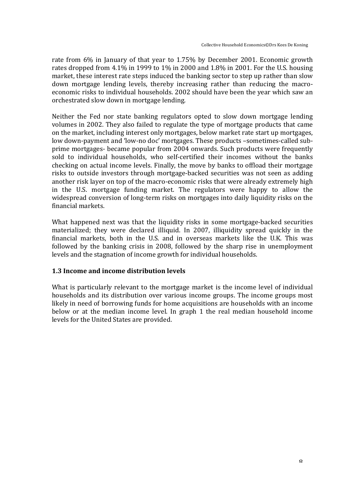rate from 6% in January of that year to 1.75% by December 2001. Economic growth rates dropped from  $4.1\%$  in 1999 to  $1\%$  in 2000 and  $1.8\%$  in 2001. For the U.S. housing market, these interest rate steps induced the banking sector to step up rather than slow down mortgage lending levels, thereby increasing rather than reducing the macroeconomic risks to individual households. 2002 should have been the year which saw an orchestrated slow down in mortgage lending.

Neither the Fed nor state banking regulators opted to slow down mortgage lending volumes in 2002. They also failed to regulate the type of mortgage products that came on the market, including interest only mortgages, below market rate start up mortgages, low down-payment and 'low-no doc' mortgages. These products -sometimes-called subprime mortgages- became popular from 2004 onwards. Such products were frequently sold to individual households, who self-certified their incomes without the banks checking on actual income levels. Finally, the move by banks to offload their mortgage risks to outside investors through mortgage-backed securities was not seen as adding another risk layer on top of the macro-economic risks that were already extremely high in the U.S. mortgage funding market. The regulators were happy to allow the widespread conversion of long-term risks on mortgages into daily liquidity risks on the financial markets.

What happened next was that the liquidity risks in some mortgage-backed securities materialized; they were declared illiquid. In 2007, illiquidity spread quickly in the financial markets, both in the U.S. and in overseas markets like the U.K. This was followed by the banking crisis in 2008, followed by the sharp rise in unemployment levels and the stagnation of income growth for individual households.

#### **1.3 Income and income distribution levels**

What is particularly relevant to the mortgage market is the income level of individual households and its distribution over various income groups. The income groups most likely in need of borrowing funds for home acquisitions are households with an income below or at the median income level. In graph 1 the real median household income levels for the United States are provided.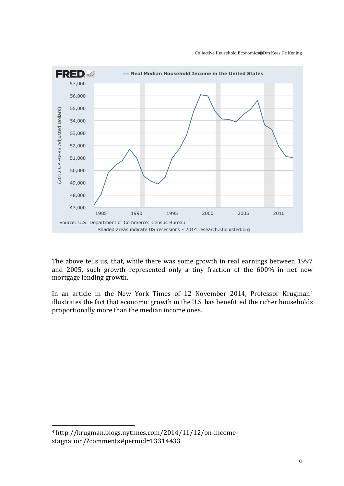

The above tells us, that, while there was some growth in real earnings between 1997 and 2005, such growth represented only a tiny fraction of the 600% in net new mortgage lending growth.

In an article in the New York Times of 12 November 2014, Professor Krugman<sup>4</sup> illustrates the fact that economic growth in the U.S. has benefitted the richer households proportionally more than the median income ones.

<sup>&</sup>lt;sup>4</sup> http://krugman.blogs.nytimes.com/2014/11/12/on-incomestagnation/?comments#permid=13314433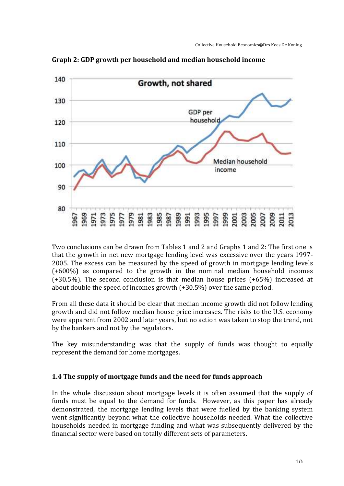

Graph 2: GDP growth per household and median household income

Two conclusions can be drawn from Tables 1 and 2 and Graphs 1 and 2: The first one is that the growth in net new mortgage lending level was excessive over the years 1997-2005. The excess can be measured by the speed of growth in mortgage lending levels  $(+600%)$  as compared to the growth in the nominal median household incomes  $(+30.5%)$ . The second conclusion is that median house prices  $(+65%)$  increased at about double the speed of incomes growth  $(+30.5%)$  over the same period.

From all these data it should be clear that median income growth did not follow lending growth and did not follow median house price increases. The risks to the U.S. economy were apparent from 2002 and later years, but no action was taken to stop the trend, not by the bankers and not by the regulators.

The key misunderstanding was that the supply of funds was thought to equally represent the demand for home mortgages.

#### **1.4** The supply of mortgage funds and the need for funds approach

In the whole discussion about mortgage levels it is often assumed that the supply of funds must be equal to the demand for funds. However, as this paper has already demonstrated, the mortgage lending levels that were fuelled by the banking system went significantly beyond what the collective households needed. What the collective households needed in mortgage funding and what was subsequently delivered by the financial sector were based on totally different sets of parameters.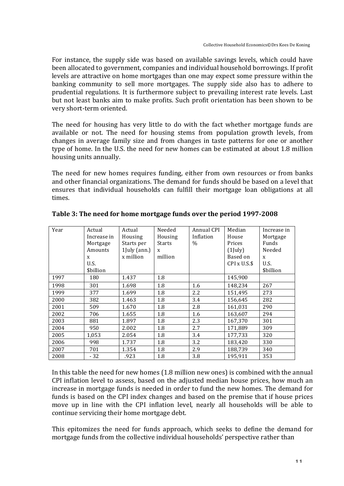For instance, the supply side was based on available savings levels, which could have been allocated to government, companies and individual household borrowings. If profit levels are attractive on home mortgages than one may expect some pressure within the banking community to sell more mortgages. The supply side also has to adhere to prudential regulations. It is furthermore subject to prevailing interest rate levels. Last but not least banks aim to make profits. Such profit orientation has been shown to be very short-term oriented.

The need for housing has very little to do with the fact whether mortgage funds are available or not. The need for housing stems from population growth levels, from changes in average family size and from changes in taste patterns for one or another type of home. In the U.S. the need for new homes can be estimated at about 1.8 million housing units annually.

The need for new homes requires funding, either from own resources or from banks and other financial organizations. The demand for funds should be based on a level that ensures that individual households can fulfill their mortgage loan obligations at all times. 

| Year | Actual      | Actual       | Needed        | Annual CPI | Median             | Increase in |
|------|-------------|--------------|---------------|------------|--------------------|-------------|
|      | Increase in | Housing      | Housing       | Inflation  | House              | Mortgage    |
|      | Mortgage    | Starts per   | <b>Starts</b> | $\%$       | Prices             | Funds       |
|      | Amounts     | 1July (ann.) | X             |            | $(1$ [uly]         | Needed      |
|      | X           | x million    | million       |            | Based on           | X           |
|      | U.S.        |              |               |            | $CPI \times U.S.\$ | U.S.        |
|      | \$billion   |              |               |            |                    | \$billion   |
| 1997 | 180         | 1.437        | 1.8           |            | 145,900            |             |
| 1998 | 301         | 1.698        | 1.8           | 1.6        | 148,234            | 267         |
| 1999 | 377         | 1.699        | 1.8           | 2.2        | 151.495            | 273         |
| 2000 | 382         | 1.463        | 1.8           | 3.4        | 156,645            | 282         |
| 2001 | 509         | 1.670        | 1.8           | 2.8        | 161,031            | 290         |
| 2002 | 706         | 1.655        | 1.8           | 1.6        | 163,607            | 294         |
| 2003 | 881         | 1.897        | 1.8           | 2.3        | 167,370            | 301         |
| 2004 | 950         | 2.002        | 1.8           | 2.7        | 171,889            | 309         |
| 2005 | 1,053       | 2.054        | 1.8           | 3.4        | 177,733            | 320         |
| 2006 | 998         | 1.737        | 1.8           | 3.2        | 183,420            | 330         |
| 2007 | 701         | 1.354        | 1.8           | 2.9        | 188,739            | 340         |
| 2008 | $-32$       | .923         | 1.8           | 3.8        | 195,911            | 353         |

Table 3: The need for home mortgage funds over the period 1997-2008

In this table the need for new homes  $(1.8 \text{ million new ones})$  is combined with the annual CPI inflation level to assess, based on the adjusted median house prices, how much an increase in mortgage funds is needed in order to fund the new homes. The demand for funds is based on the CPI index changes and based on the premise that if house prices move up in line with the CPI inflation level, nearly all households will be able to continue servicing their home mortgage debt.

This epitomizes the need for funds approach, which seeks to define the demand for mortgage funds from the collective individual households' perspective rather than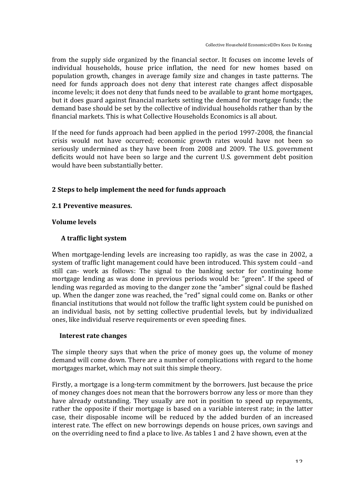from the supply side organized by the financial sector. It focuses on income levels of individual households, house price inflation, the need for new homes based on population growth, changes in average family size and changes in taste patterns. The need for funds approach does not deny that interest rate changes affect disposable income levels; it does not deny that funds need to be available to grant home mortgages, but it does guard against financial markets setting the demand for mortgage funds; the demand base should be set by the collective of individual households rather than by the financial markets. This is what Collective Households Economics is all about.

If the need for funds approach had been applied in the period  $1997-2008$ , the financial crisis would not have occurred; economic growth rates would have not been so seriously undermined as they have been from 2008 and 2009. The U.S. government deficits would not have been so large and the current U.S. government debt position would have been substantially better.

### 2 Steps to help implement the need for funds approach

#### 2.1 Preventive measures.

#### **Volume 
 levels**

#### A traffic light system

When mortgage-lending levels are increasing too rapidly, as was the case in 2002, a system of traffic light management could have been introduced. This system could -and still can- work as follows: The signal to the banking sector for continuing home mortgage lending as was done in previous periods would be: "green". If the speed of lending was regarded as moving to the danger zone the "amber" signal could be flashed up. When the danger zone was reached, the "red" signal could come on. Banks or other financial institutions that would not follow the traffic light system could be punished on an individual basis, not by setting collective prudential levels, but by individualized ones, like individual reserve requirements or even speeding fines.

#### **Interest rate changes**

The simple theory says that when the price of money goes up, the volume of money demand will come down. There are a number of complications with regard to the home mortgages market, which may not suit this simple theory.

Firstly, a mortgage is a long-term commitment by the borrowers. Just because the price of money changes does not mean that the borrowers borrow any less or more than they have already outstanding. They usually are not in position to speed up repayments, rather the opposite if their mortgage is based on a variable interest rate; in the latter case, their disposable income will be reduced by the added burden of an increased interest rate. The effect on new borrowings depends on house prices, own savings and on the overriding need to find a place to live. As tables 1 and 2 have shown, even at the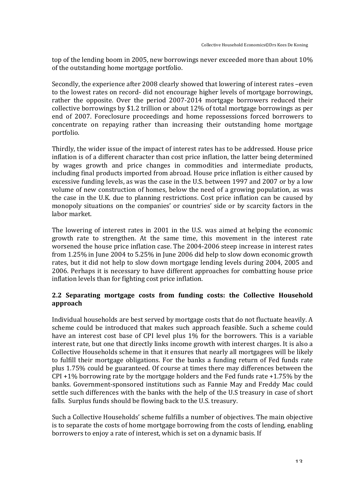top of the lending boom in 2005, new borrowings never exceeded more than about 10% of the outstanding home mortgage portfolio.

Secondly, the experience after 2008 clearly showed that lowering of interest rates –even to the lowest rates on record- did not encourage higher levels of mortgage borrowings, rather the opposite. Over the period 2007-2014 mortgage borrowers reduced their collective borrowings by \$1.2 trillion or about  $12\%$  of total mortgage borrowings as per end of 2007. Foreclosure proceedings and home repossessions forced borrowers to concentrate on repaying rather than increasing their outstanding home mortgage portfolio.

Thirdly, the wider issue of the impact of interest rates has to be addressed. House price inflation is of a different character than cost price inflation, the latter being determined by wages growth and price changes in commodities and intermediate products, including final products imported from abroad. House price inflation is either caused by excessive funding levels, as was the case in the U.S. between 1997 and 2007 or by a low volume of new construction of homes, below the need of a growing population, as was the case in the U.K. due to planning restrictions. Cost price inflation can be caused by monopoly situations on the companies' or countries' side or by scarcity factors in the labor market.

The lowering of interest rates in 2001 in the U.S. was aimed at helping the economic growth rate to strengthen. At the same time, this movement in the interest rate worsened the house price inflation case. The 2004-2006 steep increase in interest rates from 1.25% in June 2004 to 5.25% in June 2006 did help to slow down economic growth rates, but it did not help to slow down mortgage lending levels during 2004, 2005 and 2006. Perhaps it is necessary to have different approaches for combatting house price inflation levels than for fighting cost price inflation.

### 2.2 Separating mortgage costs from funding costs: the Collective Household **approach**

Individual households are best served by mortgage costs that do not fluctuate heavily. A scheme could be introduced that makes such approach feasible. Such a scheme could have an interest cost base of CPI level plus  $1\%$  for the borrowers. This is a variable interest rate, but one that directly links income growth with interest charges. It is also a Collective Households scheme in that it ensures that nearly all mortgagees will be likely to fulfill their mortgage obligations. For the banks a funding return of Fed funds rate plus 1.75% could be guaranteed. Of course at times there may differences between the CPI +1% borrowing rate by the mortgage holders and the Fed funds rate +1.75% by the banks. Government-sponsored institutions such as Fannie May and Freddy Mac could settle such differences with the banks with the help of the U.S treasury in case of short falls. Surplus funds should be flowing back to the U.S. treasury.

Such a Collective Households' scheme fulfills a number of objectives. The main objective is to separate the costs of home mortgage borrowing from the costs of lending, enabling borrowers to enjoy a rate of interest, which is set on a dynamic basis. If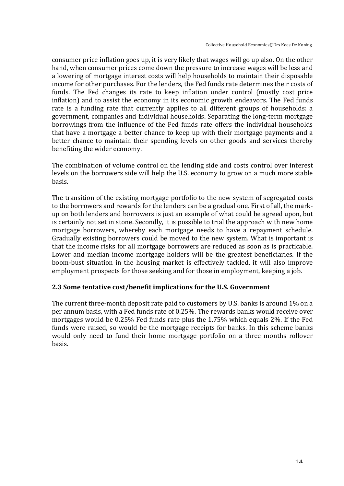consumer price inflation goes up, it is very likely that wages will go up also. On the other hand, when consumer prices come down the pressure to increase wages will be less and a lowering of mortgage interest costs will help households to maintain their disposable income for other purchases. For the lenders, the Fed funds rate determines their costs of funds. The Fed changes its rate to keep inflation under control (mostly cost price inflation) and to assist the economy in its economic growth endeavors. The Fed funds rate is a funding rate that currently applies to all different groups of households: a government, companies and individual households. Separating the long-term mortgage borrowings from the influence of the Fed funds rate offers the individual households that have a mortgage a better chance to keep up with their mortgage payments and a better chance to maintain their spending levels on other goods and services thereby benefiting the wider economy.

The combination of volume control on the lending side and costs control over interest levels on the borrowers side will help the U.S. economy to grow on a much more stable basis. 

The transition of the existing mortgage portfolio to the new system of segregated costs to the borrowers and rewards for the lenders can be a gradual one. First of all, the markup on both lenders and borrowers is just an example of what could be agreed upon, but is certainly not set in stone. Secondly, it is possible to trial the approach with new home mortgage borrowers, whereby each mortgage needs to have a repayment schedule. Gradually existing borrowers could be moved to the new system. What is important is that the income risks for all mortgage borrowers are reduced as soon as is practicable. Lower and median income mortgage holders will be the greatest beneficiaries. If the boom-bust situation in the housing market is effectively tackled, it will also improve employment prospects for those seeking and for those in employment, keeping a job.

#### 2.3 Some tentative cost/benefit implications for the U.S. Government

The current three-month deposit rate paid to customers by U.S. banks is around 1% on a per annum basis, with a Fed funds rate of 0.25%. The rewards banks would receive over mortgages would be  $0.25\%$  Fed funds rate plus the 1.75% which equals 2%. If the Fed funds were raised, so would be the mortgage receipts for banks. In this scheme banks would only need to fund their home mortgage portfolio on a three months rollover basis.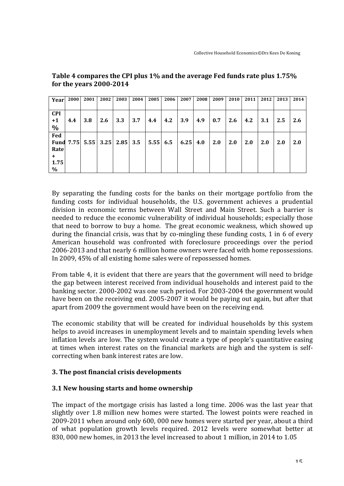| Year        | 2000 | 2001 | 2002 | 2003          | 2004 | 2005            | 2006 | 2007 | 2008 | 2009 | 2010 | 2011 | 2012 | 2013 | 2014 |
|-------------|------|------|------|---------------|------|-----------------|------|------|------|------|------|------|------|------|------|
|             |      |      |      |               |      |                 |      |      |      |      |      |      |      |      |      |
| <b>CPI</b>  |      |      |      |               |      |                 |      |      |      |      |      |      |      |      |      |
| $+1$        | 4.4  | 3.8  | 2.6  | 3.3           | 3.7  | 4.4             | 4.2  | 3.9  | 4.9  | 0.7  | 2.6  | 4.2  | 3.1  | 2.5  | 2.6  |
| $\%$        |      |      |      |               |      |                 |      |      |      |      |      |      |      |      |      |
| Fed         |      |      |      |               |      |                 |      |      |      |      |      |      |      |      |      |
| <b>Fund</b> | 7.75 | 5.55 |      | $3.25$   2.85 | 3.5  | $5.55 \mid 6.5$ |      | 6.25 | 4.0  | 2.0  | 2.0  | 2.0  | 2.0  | 2.0  | 2.0  |
| Rate        |      |      |      |               |      |                 |      |      |      |      |      |      |      |      |      |
| ٠           |      |      |      |               |      |                 |      |      |      |      |      |      |      |      |      |
| 1.75        |      |      |      |               |      |                 |      |      |      |      |      |      |      |      |      |
| $\%$        |      |      |      |               |      |                 |      |      |      |      |      |      |      |      |      |

#### Table 4 compares the CPI plus 1% and the average Fed funds rate plus 1.75% **for the years 2000-2014**

By separating the funding costs for the banks on their mortgage portfolio from the funding costs for individual households, the U.S. government achieves a prudential division in economic terms between Wall Street and Main Street. Such a barrier is needed to reduce the economic vulnerability of individual households; especially those that need to borrow to buy a home. The great economic weakness, which showed up during the financial crisis, was that by co-mingling these funding costs, 1 in 6 of every American household was confronted with foreclosure proceedings over the period 2006-2013 and that nearly 6 million home owners were faced with home repossessions. In 2009, 45% of all existing home sales were of repossessed homes.

From table 4, it is evident that there are years that the government will need to bridge the gap between interest received from individual households and interest paid to the banking sector. 2000-2002 was one such period. For 2003-2004 the government would have been on the receiving end. 2005-2007 it would be paying out again, but after that apart from 2009 the government would have been on the receiving end.

The economic stability that will be created for individual households by this system helps to avoid increases in unemployment levels and to maintain spending levels when inflation levels are low. The system would create a type of people's quantitative easing at times when interest rates on the financial markets are high and the system is selfcorrecting when bank interest rates are low.

# **3.** The post financial crisis developments

# **3.1 New housing starts and home ownership**

The impact of the mortgage crisis has lasted a long time. 2006 was the last vear that slightly over 1.8 million new homes were started. The lowest points were reached in 2009-2011 when around only 600, 000 new homes were started per year, about a third of what population growth levels required. 2012 levels were somewhat better at 830, 000 new homes, in 2013 the level increased to about 1 million, in 2014 to 1.05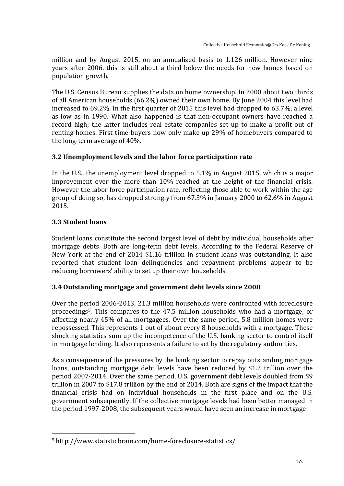million and by August 2015, on an annualized basis to 1.126 million. However nine years after 2006, this is still about a third below the needs for new homes based on population growth.

The U.S. Census Bureau supplies the data on home ownership. In 2000 about two thirds of all American households (66.2%) owned their own home. By June 2004 this level had increased to  $69.2\%$ . In the first quarter of 2015 this level had dropped to  $63.7\%$ , a level as low as in 1990. What also happened is that non-occupant owners have reached a record high; the latter includes real estate companies set up to make a profit out of renting homes. First time buyers now only make up 29% of homebuyers compared to the long-term average of  $40\%$ .

# 3.2 Unemployment levels and the labor force participation rate

In the U.S., the unemployment level dropped to  $5.1\%$  in August 2015, which is a major improvement over the more than 10% reached at the height of the financial crisis. However the labor force participation rate, reflecting those able to work within the age group of doing so, has dropped strongly from  $67.3\%$  in January 2000 to  $62.6\%$  in August 2015.

# **3.3 
 Student loans**

Student loans constitute the second largest level of debt by individual households after mortgage debts. Both are long-term debt levels. According to the Federal Reserve of New York at the end of 2014 \$1.16 trillion in student loans was outstanding. It also reported that student loan delinquencies and repayment problems appear to be reducing borrowers' ability to set up their own households.

# 3.4 Outstanding mortgage and government debt levels since 2008

Over the period 2006-2013, 21.3 million households were confronted with foreclosure proceedings<sup>5</sup>. This compares to the 47.5 million households who had a mortgage, or affecting nearly 45% of all mortgagees. Over the same period, 5.8 million homes were repossessed. This represents 1 out of about every 8 households with a mortgage. These shocking statistics sum up the incompetence of the U.S. banking sector to control itself in mortgage lending. It also represents a failure to act by the regulatory authorities.

As a consequence of the pressures by the banking sector to repay outstanding mortgage loans, outstanding mortgage debt levels have been reduced by \$1.2 trillion over the period 2007-2014. Over the same period, U.S. government debt levels doubled from \$9 trillion in 2007 to \$17.8 trillion by the end of 2014. Both are signs of the impact that the financial crisis had on individual households in the first place and on the U.S. government subsequently. If the collective mortgage levels had been better managed in the period 1997-2008, the subsequent years would have seen an increase in mortgage

<u> 1989 - Jan Samuel Barbara, politik eta politik eta politik eta politik eta politik eta politik eta politik e</u>

<sup>&</sup>lt;sup>5</sup> http://www.statisticbrain.com/home-foreclosure-statistics/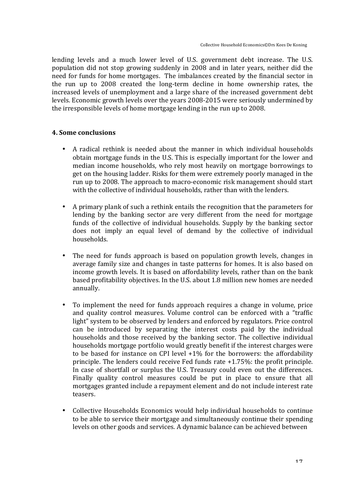lending levels and a much lower level of U.S. government debt increase. The U.S. population did not stop growing suddenly in 2008 and in later years, neither did the need for funds for home mortgages. The imbalances created by the financial sector in the run up to 2008 created the long-term decline in home ownership rates, the increased levels of unemployment and a large share of the increased government debt levels. Economic growth levels over the years 2008-2015 were seriously undermined by the irresponsible levels of home mortgage lending in the run up to 2008.

#### **4. Some conclusions**

- A radical rethink is needed about the manner in which individual households obtain mortgage funds in the U.S. This is especially important for the lower and median income households, who rely most heavily on mortgage borrowings to get on the housing ladder. Risks for them were extremely poorly managed in the run up to 2008. The approach to macro-economic risk management should start with the collective of individual households, rather than with the lenders.
- A primary plank of such a rethink entails the recognition that the parameters for lending by the banking sector are very different from the need for mortgage funds of the collective of individual households. Supply by the banking sector does not imply an equal level of demand by the collective of individual households.
- The need for funds approach is based on population growth levels, changes in average family size and changes in taste patterns for homes. It is also based on income growth levels. It is based on affordability levels, rather than on the bank based profitability objectives. In the U.S. about 1.8 million new homes are needed annually.
- To implement the need for funds approach requires a change in volume, price and quality control measures. Volume control can be enforced with a "traffic light" system to be observed by lenders and enforced by regulators. Price control can be introduced by separating the interest costs paid by the individual households and those received by the banking sector. The collective individual households mortgage portfolio would greatly benefit if the interest charges were to be based for instance on CPI level  $+1\%$  for the borrowers: the affordability principle. The lenders could receive Fed funds rate  $+1.75\%$ : the profit principle. In case of shortfall or surplus the U.S. Treasury could even out the differences. Finally quality control measures could be put in place to ensure that all mortgages granted include a repayment element and do not include interest rate teasers.
- Collective Households Economics would help individual households to continue to be able to service their mortgage and simultaneously continue their spending levels on other goods and services. A dynamic balance can be achieved between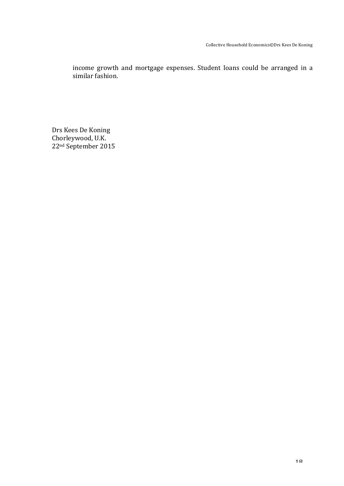income growth and mortgage expenses. Student loans could be arranged in a similar fashion.

Drs Kees De Koning Chorleywood, U.K. 22<sup>nd</sup> September 2015